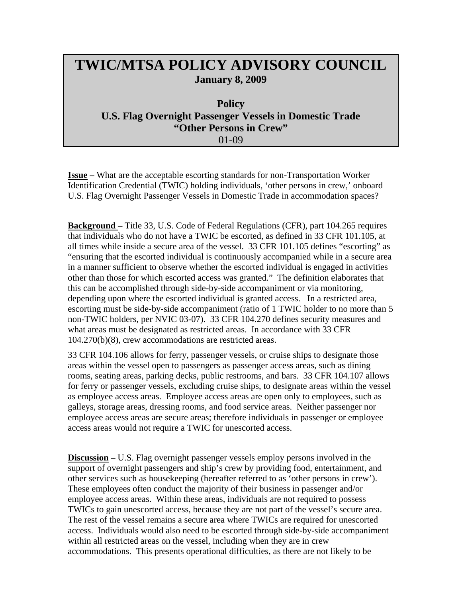## **TWIC/MTSA POLICY ADVISORY COUNCIL January 8, 2009**

## **Policy U.S. Flag Overnight Passenger Vessels in Domestic Trade "Other Persons in Crew"**  01-09

**Issue –** What are the acceptable escorting standards for non-Transportation Worker Identification Credential (TWIC) holding individuals, 'other persons in crew,' onboard U.S. Flag Overnight Passenger Vessels in Domestic Trade in accommodation spaces?

**Background –** Title 33, U.S. Code of Federal Regulations (CFR), part 104.265 requires that individuals who do not have a TWIC be escorted, as defined in 33 CFR 101.105, at all times while inside a secure area of the vessel. 33 CFR 101.105 defines "escorting" as "ensuring that the escorted individual is continuously accompanied while in a secure area in a manner sufficient to observe whether the escorted individual is engaged in activities other than those for which escorted access was granted." The definition elaborates that this can be accomplished through side-by-side accompaniment or via monitoring, depending upon where the escorted individual is granted access. In a restricted area, escorting must be side-by-side accompaniment (ratio of 1 TWIC holder to no more than 5 non-TWIC holders, per NVIC 03-07). 33 CFR 104.270 defines security measures and what areas must be designated as restricted areas. In accordance with 33 CFR 104.270(b)(8), crew accommodations are restricted areas.

33 CFR 104.106 allows for ferry, passenger vessels, or cruise ships to designate those areas within the vessel open to passengers as passenger access areas, such as dining rooms, seating areas, parking decks, public restrooms, and bars. 33 CFR 104.107 allows for ferry or passenger vessels, excluding cruise ships, to designate areas within the vessel as employee access areas. Employee access areas are open only to employees, such as galleys, storage areas, dressing rooms, and food service areas. Neither passenger nor employee access areas are secure areas; therefore individuals in passenger or employee access areas would not require a TWIC for unescorted access.

**Discussion –** U.S. Flag overnight passenger vessels employ persons involved in the support of overnight passengers and ship's crew by providing food, entertainment, and other services such as housekeeping (hereafter referred to as 'other persons in crew'). These employees often conduct the majority of their business in passenger and/or employee access areas. Within these areas, individuals are not required to possess TWICs to gain unescorted access, because they are not part of the vessel's secure area. The rest of the vessel remains a secure area where TWICs are required for unescorted access. Individuals would also need to be escorted through side-by-side accompaniment within all restricted areas on the vessel, including when they are in crew accommodations. This presents operational difficulties, as there are not likely to be